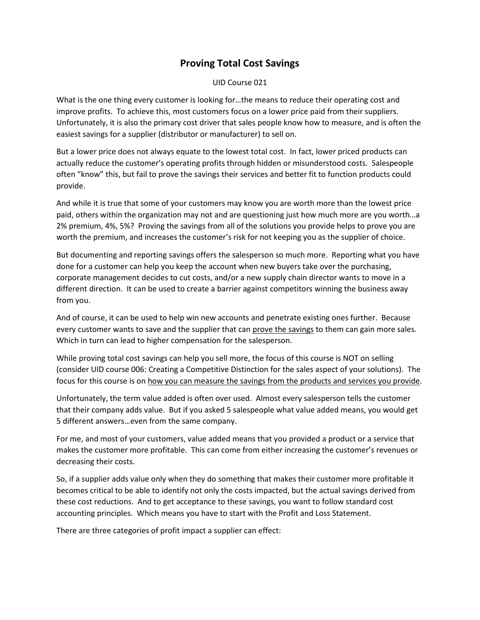## **Proving Total Cost Savings**

UID Course 021

What is the one thing every customer is looking for…the means to reduce their operating cost and improve profits. To achieve this, most customers focus on a lower price paid from their suppliers. Unfortunately, it is also the primary cost driver that sales people know how to measure, and is often the easiest savings for a supplier (distributor or manufacturer) to sell on.

But a lower price does not always equate to the lowest total cost. In fact, lower priced products can actually reduce the customer's operating profits through hidden or misunderstood costs. Salespeople often "know" this, but fail to prove the savings their services and better fit to function products could provide.

And while it is true that some of your customers may know you are worth more than the lowest price paid, others within the organization may not and are questioning just how much more are you worth…a 2% premium, 4%, 5%? Proving the savings from all of the solutions you provide helps to prove you are worth the premium, and increases the customer's risk for not keeping you as the supplier of choice.

But documenting and reporting savings offers the salesperson so much more. Reporting what you have done for a customer can help you keep the account when new buyers take over the purchasing, corporate management decides to cut costs, and/or a new supply chain director wants to move in a different direction. It can be used to create a barrier against competitors winning the business away from you.

And of course, it can be used to help win new accounts and penetrate existing ones further. Because every customer wants to save and the supplier that can prove the savings to them can gain more sales. Which in turn can lead to higher compensation for the salesperson.

While proving total cost savings can help you sell more, the focus of this course is NOT on selling (consider UID course 006: Creating a Competitive Distinction for the sales aspect of your solutions). The focus for this course is on how you can measure the savings from the products and services you provide.

Unfortunately, the term value added is often over used. Almost every salesperson tells the customer that their company adds value. But if you asked 5 salespeople what value added means, you would get 5 different answers…even from the same company.

For me, and most of your customers, value added means that you provided a product or a service that makes the customer more profitable. This can come from either increasing the customer's revenues or decreasing their costs.

So, if a supplier adds value only when they do something that makes their customer more profitable it becomes critical to be able to identify not only the costs impacted, but the actual savings derived from these cost reductions. And to get acceptance to these savings, you want to follow standard cost accounting principles. Which means you have to start with the Profit and Loss Statement.

There are three categories of profit impact a supplier can effect: